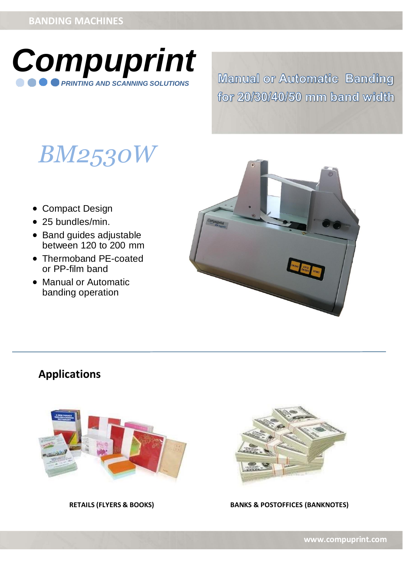

**Manual or Automatic Banding** for 20/30/40/50 mm band width

# *BM2530W*

- Compact Design
- 25 bundles/min.
- Band guides adjustable between 120 to 200 mm
- Thermoband PE-coated or PP-film band
- Manual or Automatic banding operation



# **Applications**





**RETAILS (FLYERS & BOOKS) BANKS & POSTOFFICES (BANKNOTES)**